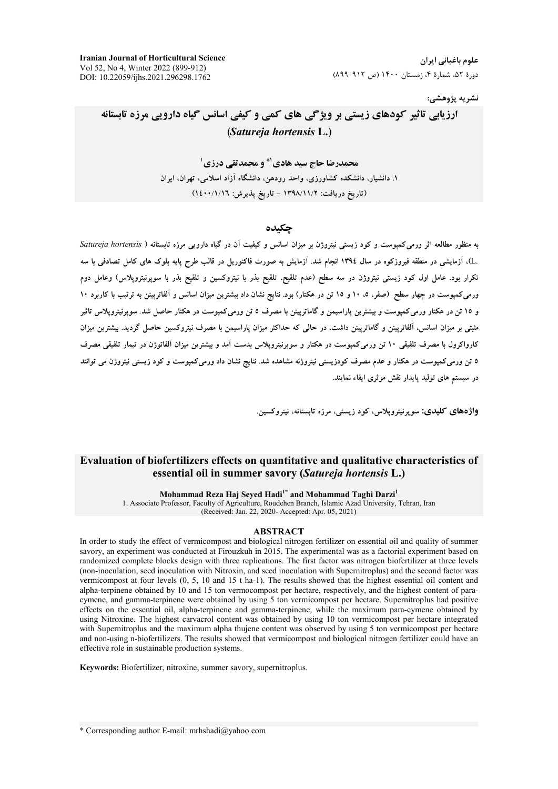**Iranian Journal of Horticultural Science**  Vol 52, No 4, Winter 2022 (899-912) DOI: 10.22059/ijhs.2021.296298.1762

نشريه پژوهش*ي*:

# ارزیابی تاثیر کودهای زیستی بر ویژگی های کمی و کیفی اسانس گیاه دارویی مرزه تابستانه **(** *Satureja hortensis* **L.)**

**محمدرضا حاج سید هادی'\* و محمدتقی درزی'** ۱. دانشیار، دانشکده کشاورزی، واحد رودهن، دانشگاه ازاد اسلامی، تهران، ایران (تاریخ دریافت: ۱۳۹۸/۱۱/۲ – تاریخ پذیرش: ۱٤٠٠/۱/۱٦)

### حكى*د*ە

به منظور مطالعه اثر ورمی**کمپوست و کود زیستی نیتروژن بر میزان اسان**س و کیفیت آن در گیاه دارویی مرزه تابستانه ( Satureja hortensis .L)، آزمایشی در منطقه فیروزکوه در سال ۱۳۹٤ انجام شد. آزمایش به صورت فاکتوریل در قالب طرح پایه بلوک های کامل تصادفی با سه نکرار بود. عامل اول کود زیستی نیتروژن در سه سطح (عدم تلقیح، تلقیح بذر با نیتروکسین و تلقیح بذر با سوپرنیتروپلاس) وعامل دوم ورمیکمپوست در چهار سطح (صفر، ۵، ۱۰ و ۱۰ قن در هکتار) بود. نتایج نشان داد بیشترین میزان اسانس و الفاترپینن به ترتیب با کاربرد ۱۰ و ۱۵ تن در هکتار ورمیکمپوست و بیشترین پاراسیمن و گاماترپینن با مصرف ۵ تن ورمیکمپوست در هکتار حاصل شد. سوپرنیتروپلاس تاثیر شتی بر میزان اسانس، الفاترپینن و گاماترپینن داشت، در حالی که حداکثر میزان پاراسیمن با مصرف نیتروکسین حاصل گردید. بیشترین میزان کارواکرول با مصرف تلفیقی ۱۰ تن ورمیکمپوست در هکتار و سوپرنیتروپلاس بدست امد و بیشترین میزان الفاتوژن در تیمار تلفیقی مصرف **6 تن ورمی**کمپوست در هکتار و عدم مصرف کودزیستی نیتروژنه مشاهده شد. نتایج نشان داد ورمیکمپوست و کود زیستی نیتروژن می توانند در سیستم های تولید پایدار نقش موثری ایفاء نمایند.

**واژههای کلیدی:** سوپرنیتروپلاس، کود زیستی، مرزه تابستانه، نیتروکسین<sub></sub>.

## **Evaluation of biofertilizers effects on quantitative and qualitative characteristics of essential oil in summer savory (***Satureja hortensis* **L.)**

**Mohammad Reza Haj Seyed Hadi1\* and Mohammad Taghi Darzi<sup>1</sup>**

1. Associate Professor, Faculty of Agriculture, Roudehen Branch, Islamic Azad University, Tehran, Iran (Received: Jan. 22, 2020- Accepted: Apr. 05, 2021)

#### **ABSTRACT**

In order to study the effect of vermicompost and biological nitrogen fertilizer on essential oil and quality of summer savory, an experiment was conducted at Firouzkuh in 2015. The experimental was as a factorial experiment based on randomized complete blocks design with three replications. The first factor was nitrogen biofertilizer at three levels (non-inoculation, seed inoculation with Nitroxin, and seed inoculation with Supernitroplus) and the second factor was vermicompost at four levels (0, 5, 10 and 15 t ha-1). The results showed that the highest essential oil content and alpha-terpinene obtained by 10 and 15 ton vermocompost per hectare, respectively, and the highest content of paracymene, and gamma-terpinene were obtained by using 5 ton vermicompost per hectare. Supernitroplus had positive effects on the essential oil, alpha-terpinene and gamma-terpinene, while the maximum para-cymene obtained by using Nitroxine. The highest carvacrol content was obtained by using 10 ton vermicompost per hectare integrated with Supernitroplus and the maximum alpha thujene content was observed by using 5 ton vermicompost per hectare and non-using n-biofertilizers. The results showed that vermicompost and biological nitrogen fertilizer could have an effective role in sustainable production systems.

**Keywords:** Biofertilizer, nitroxine, summer savory, supernitroplus.

\* Corresponding author E-mail: mrhshadi@yahoo.com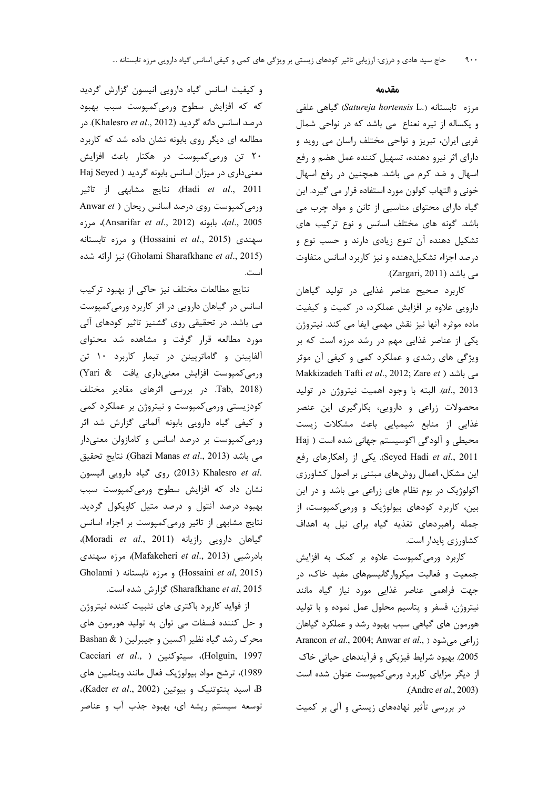و کیفیت اسانس گیاه دارویی انیسون گزارش گردید که که افزایش سطوح ورمیکمپوست سبب بهبود درصد اسانس دانه گردید (Khalesro et al., 2012). در مطالعه ای دیگر روی بابونه نشان داده شد که کاربرد ۲۰ تن ورمیکمپوست در هکتار باعث افزایش معنیداری در میزان اسانس بابونه گردید ( Haj Seyed Hadi et al., 2011). نتايج مشابهى از تاثير Anwar et ) ورمی کمپوست روی درصد اسانس ریحان al., 2005)، بابونه (Ansarifar et al., 2012)، مرزه سهندی (Hossaini *et al.*, 2015) و مرزه تابستانه نيز ارائه شده) (Gholami Sharafkhane et al., 2015) است.

نتايج مطالعات مختلف نيز حاكي از بهبود تركيب اسانس در گیاهان دارویی در اثر کاربرد ورمی کمپوست می باشد. در تحقیقی روی گشنیز تاثیر کودهای آلی مورد مطالعه قرار گرفت و مشاهده شد محتوای آلفاپینن و گاماترپینن در تیمار کاربرد ١٠ تن ورمی کمپوست افزایش معنیداری یافت & Yari) Tab, 2018). در بررسی اثرهای مقادیر مختلف کودزیستی ورمیکمپوست و نیتروژن بر عملکرد کمی و کیفی گیاه دارویی بابونه آلمانی گزارش شد اثر ورمیکمپوست بر درصد اسانس و کامازولن معنیدار مي باشد (Ghazi Manas et al., 2013). نتايج تحقيق .(2013) Khalesro et al روى گياه دارويى انيسون نشان داد که افزایش سطوح ورمی کمپوست سبب بهبود درصد آنتول و درصد متيل كاويكول گرديد. نتایج مشابهی از تاثیر ورمی کمپوست بر اجزاء اسانس CMoradi et al., 2011) بارویی رازیانه. بادرشبی (Mafakeheri *et al*., 2013)، مرزه سهندی Gholami ) و مرزه تابستانه (Hossaini et al, 2015) Sharafkhane et al, 2015) گزارش شده است.

از فواید کاربرد باکتری های تثبیت کننده نیتروژن و حل کننده فسفات می توان به تولید هورمون های محرک رشد گیاه نظیر اکسین و جیبرلین ( & Bashan Cacciari et al., ) سيتوكنين ( Holguin, 1997 1989)، ترشح مواد بیولوژیک فعال مانند ویتامین های B، اسید پنتوتنیک و بیوتین (Kader et al., 2002)، توسعه سیستم ریشه ای، بهبود جذب آب و عناصر

### مقدمه

مرزه تابستانه (Satureja hortensis L.) گیاهی علفی و یکساله از تیره نعناع می باشد که در نواحی شمال غربي ايران، تبريز و نواحي مختلف راسان مي رويد و دارای اثر نیرو دهنده، تسهیل کننده عمل هضم و رفع اسهال و ضد کرم می باشد. همچنین در رفع اسهال خونی و التهاب کولون مورد استفاده قرار می گیرد. این گیاه دارای محتوای مناسبی از تانن و مواد چرب می باشد. گونه های مختلف اسانس و نوع ترکیب های تشکیل دهنده آن تنوع زیادی دارند و حسب نوع و درصد اجزاء تشکیل دهنده و نیز کاربرد اسانس متفاوت می باشد (Zargari, 2011).

کاربرد صحیح عناصر غذایی در تولید گیاهان دارویی علاوه بر افزایش عملکرد، در کمیت و کیفیت ماده موثره آنها نیز نقش مهمی ایفا می کند. نیتروژن یکی از عناصر غذایی مهم در رشد مرزه است که بر ویژگی های رشدی و عملکرد کمی و کیفی آن موثر Makkizadeh Tafti et al., 2012; Zare et ) می باشد al., 2013). البته با وجود اهميت نيتروژن در توليد محصولات زراعی و دارویی، بکارگیری این عنصر غذایی از منابع شیمیایی باعث مشکلات زیست محیطی و آلودگی اکوسیستم جهانی شده است ( Haj Seyed Hadi et al., 2011). یکی از راهکارهای رفع این مشکل، اعمال روشهای مبتنی بر اصول کشاورزی اکولوژیک در بوم نظام های زراعی می باشد و در این بین، کاربرد کودهای بیولوژیک و ورمی کمپوست، از جمله راهبردهای تغذیه گیاه برای نیل به اهداف كشاورزي پايدار است.

کاربرد ورمیکمپوست علاوه بر کمک به افزایش جمعیت و فعالیت میکروارگانیسمهای مفید خاک، در جهت فراهمی عناصر غذایی مورد نیاز گیاه مانند نیتروژن، فسفر و پتاسیم محلول عمل نموده و با تولید هورمون های گیاهی سبب بهبود رشد و عملکرد گیاهان Arancon et al., 2004; Anwar et al., ) می شود (, 2005). بهبود شرايط فيزيكي و فرآيندهاي حياتي خاك از دیگر مزایای کاربرد ورمی کمپوست عنوان شده است .(Andre et al., 2003)

در بررسی تأثیر نهادههای زیستی و آلی بر کمیت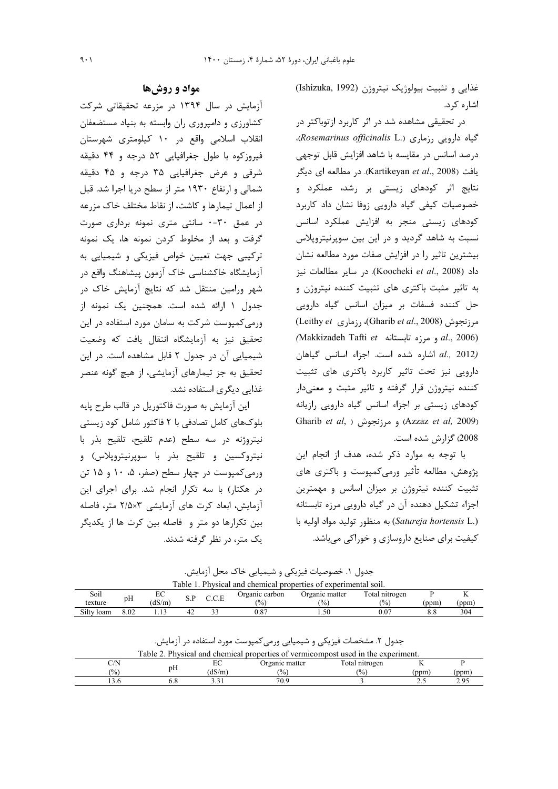غذايي وتثبيت بيولوژيک نيتروژن (Ishizuka, 1992) اشاره کرد.

در تحقیقی مشاهده شد در اثر کاربرد ازتوباکتر در .Rosemarinus officinalis L.) (Rosemarinus officinalis L. درصد اسانس در مقايسه با شاهد افزايش قابل توجهي يافت (Kartikeyan et al., 2008). در مطالعه اي ديگر نتایج اثر کودهای زیستی بر رشد، عملکرد و خصوصیات کیفی گیاه دارویی زوفا نشان داد کاربرد کودهای زیستی منجر به افزایش عملکرد اسانس نسبت به شاهد گردید و در این بین سوپرنیتروپلاس بیشترین تاثیر را در افزایش صفات مورد مطالعه نشان داد (Koocheki et al., 2008). در ساير مطالعات نيز به تاثیر مثبت باکتری های تثبیت کننده نیتروژن و حل کننده فسفات بر میزان اسانس گیاه دارویی (Leithy et رزماری) (Gharib et al., 2008)) مرزنجوش (Makkizadeh Tafti et و مرزه تابستانه Makkizadeh Tafti et al., 2012) اشاره شده است. اجزاء اسانس گیاهان دارویی نیز تحت تاثیر کاربرد باکتری های تثبیت کننده نیتروژن قرار گرفته و تاثیر مثبت و معنیدار کودهای زیستی بر اجزاء اسانس گیاه دارویی رازیانه Gharib et al, ) و مرزنجوش (Azzaz et al, 2009) 2008) گزارش شده است.

با توجه به موارد ذکر شده، هدف از انجام این پژوهش، مطالعه تأثیر ورمیکمپوست و باکتری های تثبیت کننده نیتروژن بر میزان اسانس و مهمترین اجزاء تشكيل دهنده آن در گياه دارويي مرزه تابستانه (Satureja hortensis L.) به منظور توليد مواد اوليه با کیفیت برای صنایع داروسازی و خوراکی می باشد.

# مواد و روشها

آزمایش در سال ۱۳۹۴ در مزرعه تحقیقاتی شرکت کشاورزی و دامپروری ران وابسته به بنیاد مستضعفان انقلاب اسلامی واقع در ۱۰ کیلومتری شهرستان فیروزکوه با طول جغرافیایی ۵۲ درجه و ۴۴ دقیقه شرقی و عرض جغرافیایی ۳۵ درجه و ۴۵ دقیقه شمالی و ارتفاع ۱۹۳۰ متر از سطح دریا اجرا شد. قبل از اعمال تیمارها و کاشت، از نقاط مختلف خاک مزرعه در عمق ٣٠-٠ سانتى مترى نمونه بردارى صورت گرفت و بعد از مخلوط کردن نمونه ها، یک نمونه ترکیبی جهت تعیین خواص فیزیکی و شیمیایی به أزمايشگاه خاكشناسي خاك أزمون پيشاهنگ واقع در شهر ورامین منتقل شد که نتایج آزمایش خاک در جدول ١ ارائه شده است. همچنین یک نمونه از ورمی کمیوست شرکت به سامان مورد استفاده در این تحقیق نیز به آزمایشگاه انتقال یافت که وضعیت شیمیایی آن در جدول ۲ قابل مشاهده است. در این تحقیق به جز تیمارهای آزمایشی، از هیچ گونه عنصر غذایی دیگری استفاده نشد.

این آزمایش به صورت فاکتوریل در قالب طرح پایه بلوکهای کامل تصادفی با ۲ فاکتور شامل کود زیستی نيتروژنه در سه سطح (عدم تلقيح، تلقيح بذر با نیتروکسین و تلقیح بذر با سوپرنیتروپلاس) و ورمی کمپوست در چهار سطح (صفر، ۵، ۱۰ و ۱۵ تن در هکتار) با سه تکرار انجام شد. برای اجرای این آزمایش، ابعاد کرت های آزمایشی ۲/۵×۲ متر، فاصله بین تکرارها دو متر و فاصله بین کرت ها از یکدیگر یک متر، در نظر گرفته شدند.

جدول ۱. خصوصیات فیزیکی و شیمیایی خاک محل آزمایش.

| Table.<br>Physical and chemical properties of experimental soil. |      |        |     |          |                 |                |                 |      |     |
|------------------------------------------------------------------|------|--------|-----|----------|-----------------|----------------|-----------------|------|-----|
| Soil                                                             | pH   | EC.    |     | $\cap$ E | Organic carbon  | Organic matter | Total nitrogen  |      |     |
| texture                                                          |      | (dS/m) | ۰.۱ |          | $\frac{10}{20}$ | $\frac{10}{6}$ | $\frac{(0)}{0}$ | (ppm | ppm |
| Silty<br>loam                                                    | 8.02 |        | ₩   |          | $_{0.87}$       | 1.50           | $0.07\,$        | 8.8  | 304 |

جدول ۲. مشخصات فیزیکی و شیمیایی ورمی کمپوست مورد استفاده در آزمایش.

| Table.<br>Physical and chemical properties of vermicompost used in the experiment. |    |      |                 |                |      |       |  |  |
|------------------------------------------------------------------------------------|----|------|-----------------|----------------|------|-------|--|--|
|                                                                                    |    | ◡    | Organic matter  | Total nitrogen |      |       |  |  |
| $\frac{(0)}{0}$                                                                    | рH | dS/m | $\frac{10}{20}$ | $\frac{10}{6}$ | (ppm | ' ppm |  |  |
|                                                                                    |    |      | 70.9            |                |      | .     |  |  |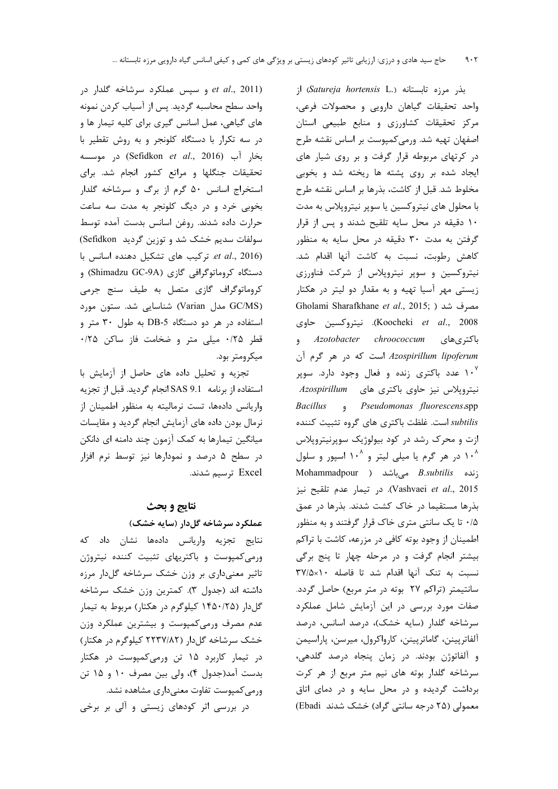و سپس عملکرد سرشاخه گلدار در et al., 2011) واحد سطح محاسبه گردید. پس از آسیاب کردن نمونه های گیاهی، عمل اسانس گیری برای کلیه تیمار ها و در سه تکرار با دستگاه کلونجر و به روش تقطیر با بخار آب (Sefidkon et al., 2016) در موسسه تحقیقات جنگلها و مراتع کشور انجام شد. برای استخراج اسانس ۵۰ گرم از برگ و سرشاخه گلدار بخوبی خرد و در دیگ کلونجر به مدت سه ساعت حرارت داده شدند. روغن اسانس بدست آمده توسط سولفات سدیم خشک شد و توزین گردید Sefidkon) et al., 2016). تركيب هاى تشكيل دهنده اسانس با دستگاه کروماتوگرافی گازی (Shimadzu GC-9A) و کروماتوگراف گازی متصل به طیف سنج جرمی (GC/MS مدل Varian) شناسایی شد. ستون مورد استفاده در هر دو دستگاه DB-5 به طول ۳۰ متر و قطر ۰/۲۵ میلی متر و ضخامت فاز ساکن ۰/۲۵ میکرومتر بود.

تجزیه و تحلیل داده های حاصل از آزمایش با استفاده از برنامه SAS 9.1 انجام گردید. قبل از تجزیه واریانس دادهها، تست نرمالیته به منظور اطمینان از نرمال بودن داده های آزمایش انجام گردید و مقایسات میانگین تیمارها به کمک آزمون چند دامنه ای دانکن در سطح ۵ درصد و نمودارها نیز توسط نرم افزار Excel ترسيم شدند.

## نتايج و بحث

# عملکرد سرشاخه گلدار (سایه خشک)

نتايج تجزيه واريانس دادهها نشان داد كه ورمی کمپوست و باکتریهای تثبیت کننده نیتروژن تاثیر معنیداری بر وزن خشک سرشاخه گلدار مرزه داشته اند (جدول ۳). کمترین وزن خشک سرشاخه گلدار (۱۴۵۰/۲۵ کیلوگرم در هکتار) مربوط به تیمار عدم مصرف ورمی کمپوست و بیشترین عملکرد وزن خشک سرشاخه گل دار (۲۲۳۷/۸۲ کیلوگرم در هکتار) در تیمار کاربرد ۱۵ تن ورمیکمپوست در هکتار بدست آمد(جدول ۴)، ولي بين مصرف ١٠ و ١۵ تن ورمی کمپوست تفاوت معنیداری مشاهده نشد.

در بررسی اثر کودهای زیستی و آلی بر برخی

بذر مرزه تابستانه (Satureja hortensis L.) از واحد تحقیقات گیاهان دارویی و محصولات فرعی، مرکز تحقیقات کشاورزی و منابع طبیعی استان اصفهان تهيه شد. ورمي كميوست بر اساس نقشه طرح در کرتهای مربوطه قرار گرفت و بر روی شیار های ایجاد شده بر روی پشته ها ریخته شد و بخوبی مخلوط شد. قبل از کاشت، بذرها بر اساس نقشه طرح با محلول های نیتروکسین یا سوپر نیتروپلاس به مدت ۱۰ دقیقه در محل سایه تلقیح شدند و پس از قرار گرفتن به مدت ۳۰ دقیقه در محل سایه به منظور كاهش رطوبت، نسبت به كاشت آنها اقدام شد. نیتروکسین و سوپر نیتروپلاس از شرکت فناورزی زیستی مهر آسیا تهیه و به مقدار دو لیتر در هکتار Gholami Sharafkhane et al., 2015; ) مصرف شد Koocheki et al., 2008). نيتروكسين حاوي باكترى هاي Azotobacter chroococcum Azospirillum lipoferum است که در هر گرم آن ۱۰<sup>۷</sup> عدد باکتری زنده و فعال وجود دارد. سوپر نیتروپلاس نیز حاوی باکتری های Azospirillum Bacillus , Pseudomonas fluorescens.spp subtilis است. غلظت باكترى هاى گروه تثبيت كننده ازت و محرک رشد در کود بیولوژیک سوپرنیتروپلاس ۱۰<sup>۸</sup> در هر گرم یا میلی لیتر و ۱۰<sup>۸</sup> اسپور و سلول Mohammadpour ) میباشد ( Mohammadpour Vashvaei et al., 2015). در تيمار عدم تلقيح نيز بذرها مستقیما در خاک کشت شدند. بذرها در عمق ۰/۵ تا یک سانتی متری خاک قرار گرفتند و به منظور اطمینان از وجود بوته کافی در مزرعه، کاشت با تراکم بیشتر انجام گرفت و در مرحله چهار تا پنج برگی نسبت به تنک آنها اقدام شد تا فاصله ٢٧/٥x١٠ سانتیمتر (تراکم ۲۷ بوته در متر مربع) حاصل گردد. صفات مورد بررسی در این آزمایش شامل عملکرد سرشاخه گلدار (سایه خشک)، درصد اسانس، درصد آلفاترپينن، گاماترپينن، كارواكرول، ميرسن، پاراسيمن و آلفاتوژن بودند. در زمان پنجاه درصد گلدهی، سرشاخه گلدار بوته های نیم متر مربع از هر کرت برداشت گردیده و در محل سایه و در دمای اتاق معمولی (۲۵ درجه سانتی گراد) خشک شدند Ebadi)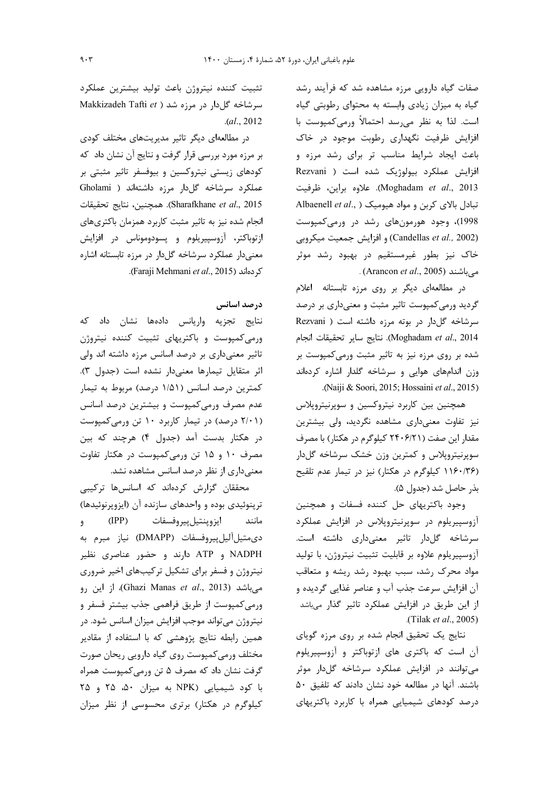صفات گیاه دارویی مرزه مشاهده شد که فرآیند رشد گیاه به میزان زیادی وابسته به محتوای رطوبتی گیاه است. لذا به نظر میرسد احتمالاً ورمیکمپوست با افزایش ظرفیت نگهداری رطوبت موجود در خاک باعث ایجاد شرایط مناسب تر برای رشد مرزه و افزایش عملکرد بیولوژیک شده است ( Rezvani Moghadam et al., 2013). علاوه براين، ظرفيت Albaenell et al., ) تبادل بالای کربن و مواد هیومیک .<br>1998)، وجود هورمونهای رشد در ورمیکمپوست (Candellas et al., 2002) و افزايش جمعيت ميكروبي خاک نیز بطور غیرمستقیم در بهبود رشد موثر میباشند (Arancon *et al.*, 2005) .

در مطالعهای دیگر بر روی مرزه تابستانه اعلام گردید ورمیکمپوست تاثیر مثبت و معنیداری بر درصد سرشاخه گل دار در بوته مرزه داشته است ( Rezvani Moghadam et al., 2014). نتايج ساير تحقيقات انجام شده بر روی مرزه نیز به تاثیر مثبت ورمیکمپوست بر وزن اندامهای هوایی و سرشاخه گلدار اشاره کردهاند .(Naiji & Soori, 2015; Hossaini et al., 2015).

همچنین بین کاربرد نیتروکسین و سوپرنیتروپلاس نیز تفاوت معنیداری مشاهده نگردید، ولی بیشترین مقدار این صفت (۲۴۰۶/۲۱ کیلوگرم در هکتار) با مصرف سوپرنیتروپلاس و کمترین وزن خشک سرشاخه گلدار (۱۱۶۰/۳۶ کیلوگرم در هکتار) نیز در تیمار عدم تلقیح بذر حاصل شد (جدول ۵).

وجود باكتريهاى حل كننده فسفات و همچنين آزوسپیریلوم در سوپرنیتروپلاس در افزایش عملکرد سرشاخه گلدار تاثیر معنیداری داشته است. آزوسپیریلوم علاوه بر قابلیت تثبیت نیتروژن، با تولید مواد محرک رشد، سبب بهبود رشد ریشه و متعاقب آن افزایش سرعت جذب آب و عناصر غذایی گردیده و از این طریق در افزایش عملکرد تاثیر گذار میباشد (Tilak et al., 2005).

نتایج یک تحقیق انجام شده بر روی مرزه گویای آن است که باکتری های ازتوباکتر و آزوسپیریلوم می توانند در افزایش عملکرد سرشاخه گلدار موثر باشند. آنها در مطالعه خود نشان دادند که تلفیق ۵۰ درصد کودهای شیمیایی همراه با کاربرد باکتریهای

تثبيت كننده نيتروژن باعث توليد بيشترين عملكرد Makkizadeh Tafti et ) سرشاخه گلدار در مرزه شد  $. (al., 2012)$ 

در مطالعهای دیگر تاثیر مدیریتهای مختلف کودی بر مرزه مورد بررسی قرار گرفت و نتایج آن نشان داد که کودهای زیستی نیتروکسین و بیوفسفر تاثیر مثبتی بر عملکرد سرشاخه گلدار مرزه داشتهاند ( Gholami Sharafkhane et al., 2015). همچنین، نتایج تحقیقات انجام شده نیز به تاثیر مثبت کاربرد همزمان باکتریهای ازتوباكتر، آزوسپيريلوم و پسودوموناس در افزايش معنیدار عملکرد سرشاخه گلدار در مرزه تابستانه اشاره .(Faraji Mehmani et al., 2015).

### درصد اسانس

نتايج تجزيه واريانس دادهها نشان داد كه ورمی کمپوست و باکتریهای تثبیت کننده نیتروژن تاثیر معنیداری بر درصد اسانس مرزه داشته اند ولی اثر متقايل تيمارها معنىدار نشده است (جدول ٣). کمترین درصد اسانس (۱/۵۱ درصد) مربوط به تیمار عدم مصرف ورمیکمپوست و بیشترین درصد اسانس (۲/۰۱ درصد) در تیمار کاربرد ۱۰ تن ورمیکمپوست در هکتار بدست آمد (جدول ۴) هرچند که بین مصرف ۱۰ و ۱۵ تن ورمیکمپوست در هکتار تفاوت معنیداری از نظر درصد اسانس مشاهده نشد.

محققان گزارش كردهاند كه اسانسها تركيبى ترپنوئیدی بوده و واحدهای سازنده آن (ایزوپرنوئیدها)  $(IPP)$ مانند ايزوپنتيلپيروفسفات  $\overline{9}$ دى متيل آليل پيروفسفات (DMAPP) نياز مبرم به NADPH و ATP دارند و حضور عناصری نظیر نیتروژن و فسفر برای تشکیل ترکیبهای اخیر ضروری میباشد (Ghazi Manas *et al.*, 2013)، از این رو ورمی کمپوست از طریق فراهمی جذب بیشتر فسفر و نیتروژن میتواند موجب افزایش میزان اسانس شود. در همین رابطه نتایج پژوهشی که با استفاده از مقادیر مختلف ورمی کمپوست روی گیاه دارویی ریحان صورت گرفت نشان داد که مصرف ۵ تن ورمی کمیوست همراه با کود شیمیایی (NPK به میزان ۵۰، ۲۵ و ۲۵ کیلوگرم در هکتار) برتری محسوسی از نظر میزان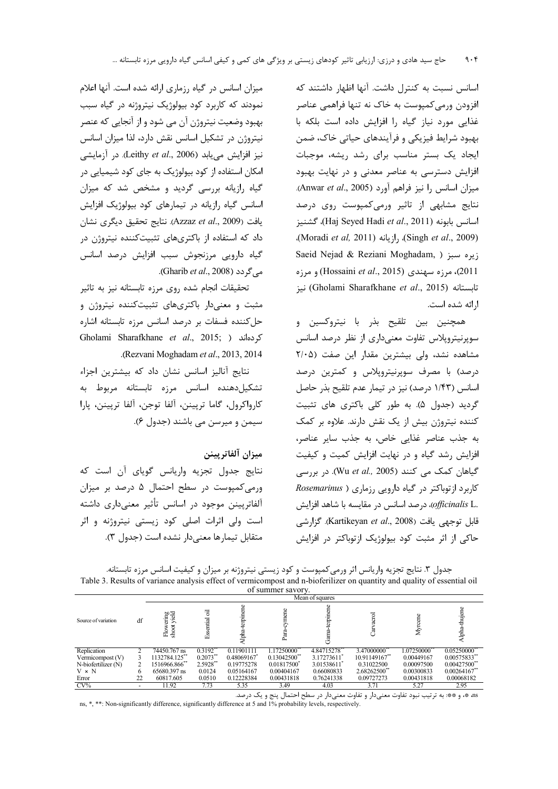اسانس نسبت به کنترل داشت. آنها اظهار داشتند که افزودن ورمیکمپوست به خاک نه تنها فراهمی عناصر غذایی مورد نیاز گیاه را افزایش داده است بلکه با بهبود شرایط فیزیکی و فرآیندهای حیاتی خاک، ضمن ایجاد یک بستر مناسب برای رشد ریشه، موجبات افزایش دسترسی به عناصر معدنی و در نهایت بهبود ميزان اسانس را نيز فراهم آورد (Anwar et al., 2005). نتایج مشابهی از تاثیر ورمی کمپوست روی درصد اسانس بابونه (Haj Seyed Hadi et al., 2011)، كشنيز (Singh et al., 2009)، رازيانه (Moradi et al, 2011). Saeid Nejad & Reziani Moghadam, ) زيره سبز 2011)، مرزه سهندی (Hossaini et al., 2015) و مرزه نيز (Gholami Sharafkhane et al., 2015) نيز ارائه شده است.

همچنین بین تلقیح بذر با نیتروکسین و سوپرنیتروپلاس تفاوت معنیداری از نظر درصد اسانس مشاهده نشد، ولی بیشترین مقدار این صفت (۲/۰۵ درصد) با مصرف سوپرنیتروپلاس و کمترین درصد اسانس (۱/۴۳ درصد) نیز در تیمار عدم تلقیح بذر حاصل گردید (جدول ۵). به طور کلی باکتری های تثبیت کننده نیتروژن بیش از یک نقش دارند. علاوه بر کمک به جذب عناصر غذایی خاص، به جذب سایر عناصر، افزایش رشد گیاه و در نهایت افزایش کمیت و کیفیت گیاهان کمک می کنند (Wu et al., 2005). در بررسی کاربرد از توباکتر در گیاه دارویی رزماری ( Rosemarinus .officinalis L)، درصد اسانس در مقايسه با شاهد افزايش قابل توجهي يافت (Kartikeyan et al., 2008). گزارشي حاکی از اثر مثبت کود بیولوژیک ازتوباکتر در افزایش

میزان اسانس در گیاه رزماری ارائه شده است. آنها اعلام نمودند که کاربرد کود بیولوژیک نیتروژنه در گیاه سبب بهبود وضعیت نیتروژن آن می شود و از آنجایی که عنصر نیتروژن در تشکیل اسانس نقش دارد، لذا میزان اسانس نيز افزايش مي يابد (Leithy et al., 2006). در آزمايشي امکان استفاده از کود بیولوژیک به جای کود شیمیایی در گیاه رازیانه بررسی گردید و مشخص شد که میزان اسانس گیاه رازیانه در تیمارهای کود بیولوژیک افزایش يافت (Azzaz et al., 2009). نتايج تحقيق ديگرى نشان داد که استفاده از باکتریهای تثبیتکننده نیتروژن در گیاه دارویی مرزنجوش سبب افزایش درصد اسانس می گردد (Gharib *et al.,* 2008).

تحقیقات انجام شده روی مرزه تابستانه نیز به تاثیر مثبت و معنیدار باکتریهای تثبیتکننده نیتروژن و حل كننده فسفات بر درصد اسانس مرزه تابستانه اشاره Gholami Sharafkhane et al., 2015; ) كردهاند .(Rezvani Moghadam et al., 2013, 2014).

نتایج آنالیز اسانس نشان داد که بیشترین اجزاء تشکیل دهنده اسانس مرزه تابستانه مربوط به كارواكرول، گاما تريينن، آلفا توجن، آلفا تريينن، يارا سيمن و ميرسن مي باشند (جدول ۶).

ميزان آلفاتريينن

نتايج جدول تجزيه واريانس گوياى آن است كه ورمی کمپوست در سطح احتمال ۵ درصد بر میزان آلفاترپینن موجود در اسانس تأثیر معنیداری داشته است ولی اثرات اصلی کود زیستی نیتروژنه و اثر متقابل تيمارها معنى دار نشده است (جدول ٣).

جدول ۳. نتایج تجزیه واریانس اثر ورمی کمیوست و کود زیستی نیتروژنه بر میزان و کیفیت اسانس مرزه تابستانه. Table 3. Results of variance analysis effect of vermicompost and n-bioferilizer on quantity and quality of essential oil

|                          |    |                        |                       |               | 01341111101341011          |            |               |             |                            |
|--------------------------|----|------------------------|-----------------------|---------------|----------------------------|------------|---------------|-------------|----------------------------|
| Mean of squares          |    |                        |                       |               |                            |            |               |             |                            |
| Source of variation      | df | ering<br>shoot<br>Flow | ಕ<br>Essential        | erpin<br>lpha | ene<br>Para                | epin<br>U  |               |             | ip⊈<br>lpha                |
| Replication              |    | 74450.767 ns           | $0.3192$ <sup>*</sup> | 0.11901111    | 1.17250000°                | 4.84715278 | 3.47000000    | 1.07250000° | 0.05250000                 |
| Vermicompost $(V)$       |    | 1132784.125"           | $0.2073$ **           | 0.48069167    | $0.13042500$ <sup>**</sup> | 3.17273611 | 10.91149167** | 0.00449167  | $0.00575833$ <sup>**</sup> |
| $N$ -biofertilizer $(N)$ |    | 1516966.866            | 2.5928**              | 0.19775278    | 0.01817500                 | 3.01538611 | 0.31022500    | 0.00097500  | 0.00427500                 |
| $V \times N$             |    | 65680.397 ns           | 0.0124                | 0.05164167    | 0.00404167                 | 0.66080833 | 2.68262500    | 0.00300833  | 0.00264167                 |
| Error                    | 22 | 60817.605              | 0.0510                | 0.12228384    | 0.00431818                 | 0.76241338 | 0.09727273    | 0.00431818  | 0.00068182                 |
| $CV\%$                   |    | 11.92                  | 7.73                  | 5.35          | 3.49                       | 4.03       | 3.71          | 5.27        | 2.95                       |

as \*، و \*\*: به ترتیب نبود تفاوت معنیدار و تفاوت معنیدار در سطح احتمال پنج و یک درصد. ns, \*, \*\*: Non-significantly difference, significantly difference at 5 and 1% probability levels, respectively.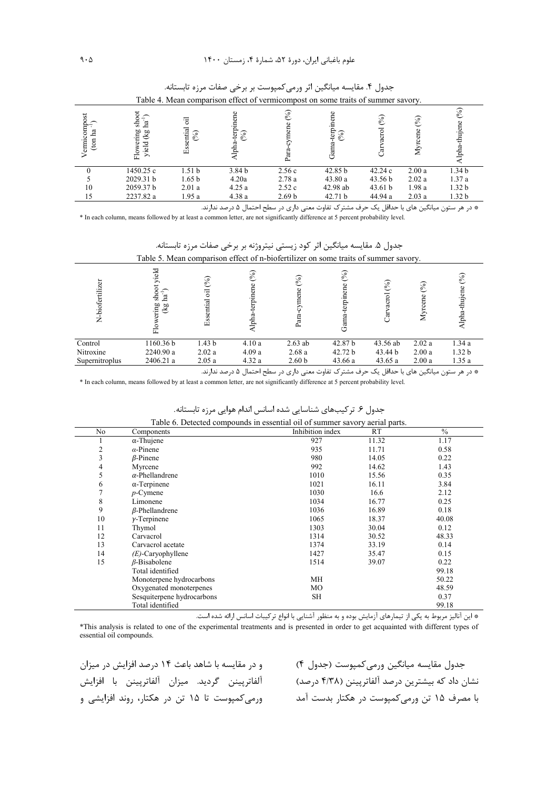| Table 4. Mean comparison effect of vermicompost on some traits of summer savory. |                                          |                   |                                         |                   |                                 |              |               |                   |  |
|----------------------------------------------------------------------------------|------------------------------------------|-------------------|-----------------------------------------|-------------------|---------------------------------|--------------|---------------|-------------------|--|
| $(1)$<br>$(m \text{ ha}^{-1})$<br>(ton                                           | .a<br>-등<br>ering<br>(kg<br>yield<br>Flo | Essential<br>(96) | terp<br>$\mathscr{S}_{\mathbf{0}}$<br>효 | (96)<br>ច្ប       | E<br>$\mathscr{S}_{\mathsf{e}}$ | (%)<br>acrol | $\mathcal{S}$ | thujene<br>lpha   |  |
|                                                                                  | 1450.25 c                                | 1.51 <sub>b</sub> | 3.84 <sub>b</sub>                       | 2.56c             | 42.85 b                         | 42.24c       | 2.00a         | 1.34 <sub>b</sub> |  |
|                                                                                  | 2029.31 b                                | 1.65 <sub>b</sub> | 4.20a                                   | 2.78a             | 43.80a                          | 43.56 b      | 2.02a         | 1.37a             |  |
| 10                                                                               | 2059.37 b                                | 2.01a             | 4.25a                                   | 2.52c             | 42.98 ab                        | 43.61 b      | 1.98a         | 1.32 <sub>b</sub> |  |
| 15                                                                               | 2237.82 a                                | 1.95a             | 4.38a                                   | 2.69 <sub>b</sub> | 42.71 b                         | 44.94 a      | 2.03a         | 1.32 <sub>b</sub> |  |

جدول ۴. مقايسه ميانگين اثر ورمي كمپوست بر برخي صفات مرزه تابستانه.

\* در هر ستون میانگین های با حداقل یک حرف مشترک تفاوت معنی داری در سطح احتمال ۵ درصد ندارند.

\* In each column, means followed by at least a common letter, are not significantly difference at 5 percent probability level.

جدول ۵. مقايسه ميانگين اثر كود زيستي نيتروژنه بر برخي صفات مرزه تابستانه. Table 5. Mean comparison effect of n-biofertilizer on some traits of summer savory.

| N-biofertilizer | yield<br>5<br>۰<br>-ਡ .ਬ<br>wering<br>x <sub>g</sub><br>٥<br>匸 | (° <sub>0</sub> )<br>ह<br>Essential | (96)<br>terpinene<br>lpha | (9)<br>La         | (%)<br>ia<br>F     | $\mathcal{S}$ | (%)<br>ź | $\mathcal{S}_{\bullet}$<br>효 |
|-----------------|----------------------------------------------------------------|-------------------------------------|---------------------------|-------------------|--------------------|---------------|----------|------------------------------|
| Control         | 1160.36 b                                                      | 1.43 <sub>b</sub>                   | 4.10a                     | $2.63$ ab         | 42.87 <sub>b</sub> | 43.56 ab      | 2.02a    | 1.34a                        |
| Nitroxine       | 2240.90 a                                                      | 2.02a                               | 4.09a                     | 2.68a             | 42.72 b            | 43.44 b       | 2.00a    | 1.32 <sub>b</sub>            |
| Supernitroplus  | 2406.21 a                                                      | 2.05a                               | 4.32a                     | 2.60 <sub>b</sub> | 43.66 a            | 43.65a        | 2.00a    | 1.35a                        |

\* در هر ستون میانگین های با حداقل یک حرف مشترک تفاوت معنی داری در سطح احتمال ۵ درصد ندارند.

\* In each column, means followed by at least a common letter, are not significantly difference at 5 percent probability level.

| Table 6. Detected compounds in essential oil of summer savory aerial parts. |                            |                  |           |               |  |  |  |  |  |
|-----------------------------------------------------------------------------|----------------------------|------------------|-----------|---------------|--|--|--|--|--|
| No                                                                          | Components                 | Inhibition index | <b>RT</b> | $\frac{0}{0}$ |  |  |  |  |  |
|                                                                             | $\alpha$ -Thujene          | 927              | 11.32     | 1.17          |  |  |  |  |  |
| 2                                                                           | $\alpha$ -Pinene           | 935              | 11.71     | 0.58          |  |  |  |  |  |
| 3                                                                           | $\beta$ -Pinene            | 980              | 14.05     | 0.22          |  |  |  |  |  |
| 4                                                                           | Myrcene                    | 992              | 14.62     | 1.43          |  |  |  |  |  |
| 5                                                                           | $\alpha$ -Phellandrene     | 1010             | 15.56     | 0.35          |  |  |  |  |  |
| 6                                                                           | $\alpha$ -Terpinene        | 1021             | 16.11     | 3.84          |  |  |  |  |  |
|                                                                             | $p$ -Cymene                | 1030             | 16.6      | 2.12          |  |  |  |  |  |
| 8                                                                           | Limonene                   | 1034             | 16.77     | 0.25          |  |  |  |  |  |
| 9                                                                           | $\beta$ -Phellandrene      | 1036             | 16.89     | 0.18          |  |  |  |  |  |
| 10                                                                          | $\gamma$ -Terpinene        | 1065             | 18.37     | 40.08         |  |  |  |  |  |
| 11                                                                          | Thymol                     | 1303             | 30.04     | 0.12          |  |  |  |  |  |
| 12                                                                          | Carvacrol                  | 1314             | 30.52     | 48.33         |  |  |  |  |  |
| 13                                                                          | Carvacrol acetate          | 1374             | 33.19     | 0.14          |  |  |  |  |  |
| 14                                                                          | $(E)$ -Caryophyllene       | 1427             | 35.47     | 0.15          |  |  |  |  |  |
| 15                                                                          | $\beta$ -Bisabolene        | 1514             | 39.07     | 0.22          |  |  |  |  |  |
|                                                                             | Total identified           |                  |           | 99.18         |  |  |  |  |  |
|                                                                             | Monoterpene hydrocarbons   | MH               |           | 50.22         |  |  |  |  |  |
|                                                                             | Oxygenated monoterpenes    | MO               |           | 48.59         |  |  |  |  |  |
|                                                                             | Sesquiterpene hydrocarbons | SH               |           | 0.37          |  |  |  |  |  |
|                                                                             | Total identified           |                  |           | 99.18         |  |  |  |  |  |

جدول ۶. تر کیبهای شناسایی شده اسانس اندام هوایی مرزه تابستانه.

\* این آنالیز مربوط به یکی از تیمارهای آزمایش بوده و به منظور آشنایی با انواع ترکیبات اسانس ارائه شده است.

\*This analysis is related to one of the experimental treatments and is presented in order to get acquainted with different types of essential oil compounds.

و در مقایسه با شاهد باعث ۱۴ درصد افزایش در میزان آلفاترپينن گرديد. ميزان آلفاترپينن با افزايش ورمی کمیوست تا ۱۵ تن در هکتار، روند افزایشی و

جدول مقايسه ميانگين ورمي كمپوست (جدول ۴) نشان داد که بیشترین درصد آلفاترپینن (۴/۳۸ درصد) با مصرف ۱۵ تن ورمی *ک*مپوست در هکتار بدست آمد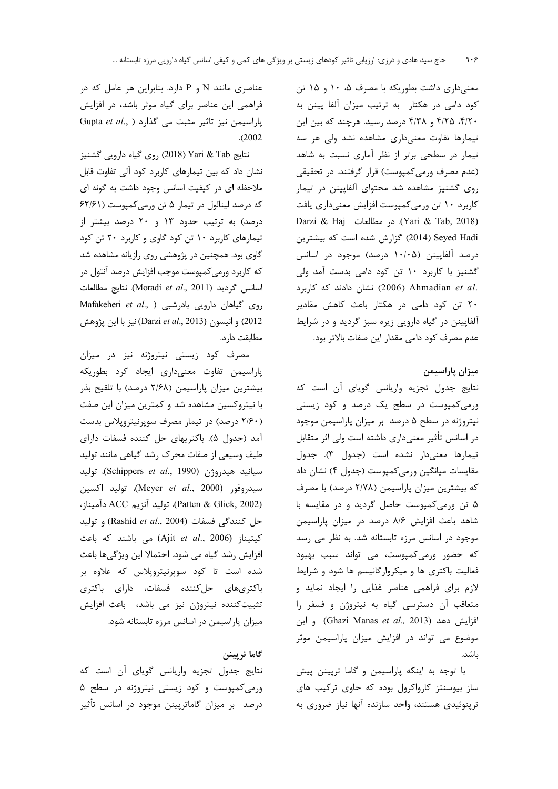معنیداری داشت بطوریکه با مصرف ۰۵ ۱۰ و ۱۵ تن کود دامی در هکتار به ترتیب میزان آلفا پینن به ۴/۲۰، ۴/۲۵ و ۴/۳۸ درصد رسید. هرچند که بین این تیمارها تفاوت معنیداری مشاهده نشد ولی هر سه تیمار در سطحی برتر از نظر آماری نسبت به شاهد (عدم مصرف ورمی کمپوست) قرار گرفتند. در تحقیقی روی گشنیز مشاهده شد محتوای آلفاپینن در تیمار كاربرد ١٠ تن ورمي كمپوست افزايش معنىدارى يافت Darzi & Haj (Yari & Tab, 2018). در مطالعات (Yari & Tab Seyed Hadi (2014) گزارش شده است که بیشترین درصد آلفاپینن (۱۰/۰۵ درصد) موجود در اسانس گشنیز با کاربرد ۱۰ تن کود دامی بدست آمد ولی نشان دادند که کاربرد (2006) Ahmadian et al. ۲۰ تن کود دامی در هکتار باعث کاهش مقادیر آلفاپینن در گیاه دارویی زیره سبز گردید و در شرایط عدم مصرف کود دامی مقدار این صفات بالاتر بود.

ميزان پاراسيمن

نتایج جدول تجزیه واریانس گویای آن است که ورمیکمپوست در سطح یک درصد و کود زیستی نیتروژنه در سطح ۵ درصد بر میزان پاراسیمن موجود در اسانس تأثیر معنیداری داشته است ولی اثر متقابل تيمارها معنىدار نشده است (جدول ٣). جدول مقایسات میانگین ورمی کمپوست (جدول ۴) نشان داد که بیشترین میزان پاراسیمن (۲/۷۸ درصد) با مصرف ۵ تن ورمیکمپوست حاصل گردید و در مقایسه با شاهد باعث افزایش ۸/۶ درصد در میزان پاراسیمن موجود در اسانس مرزه تابستانه شد. به نظر می رسد که حضور ورمیکمپوست، می تواند سبب بهبود فعالیت باکتری ها و میکروارگانیسم ها شود و شرایط لازم برای فراهمی عناصر غذایی را ایجاد نماید و متعاقب آن دسترسى گياه به نيتروژن و فسفر را و اين (Ghazi Manas et al., 2013) و اين موضوع می تواند در افزایش میزان پاراسیمن موثر ىاشد.

با توجه به اینکه پاراسیمن و گاما ترپینن پیش ساز بیوسنتز کارواکرول بوده که حاوی ترکیب های ترینوئیدی هستند، واحد سازنده آنها نیاز ضروری به

عناصری مانند N و P دارد. بنابراین هر عامل که در فراهمی این عناصر برای گیاه موثر باشد، در افزایش Gupta et al., ) باراسیمن نیز تاثیر مثبت می گذارد  $. (2002)$ 

نتايج Yari & Tab (2018) روى گياه دارويي گشنيز نشان داد که بین تیمارهای کاربرد کود آلی تفاوت قابل ملاحظه ای در کیفیت اسانس وجود داشت به گونه ای که درصد لینالول در تیمار ۵ تن ورمی کمپوست (۶۲/۶۱ درصد) به ترتیب حدود ۱۳ و ۲۰ درصد بیشتر از تیمارهای کاربرد ۱۰ تن کود گاوی و کاربرد ۲۰ تن کود گاوی بود. همچنین در پژوهشی روی رازیانه مشاهده شد که کاربرد ورمیکمپوست موجب افزایش درصد آنتول در اسانس گرديد (Moradi et al., 2011). نتايج مطالعات Mafakeheri et al., ) روی گیاهان دارویی بادرشبی 2012) و انيسون (Darzi et al., 2013) نيز با اين پژوهش مطابقت دا, د.

مصرف کود زیستی نیتروژنه نیز در میزان پاراسیمن تفاوت معنیداری ایجاد کرد بطوریکه بیشترین میزان پاراسیمن (۲/۶۸ درصد) با تلقیح بذر با نیتروکسین مشاهده شد و کمترین میزان این صفت (۲/۶۰ درصد) در تیمار مصرف سوپرنیتروپلاس بدست آمد (جدول ۵). باكتريهاى حل كننده فسفات داراى طیف وسیعی از صفات محرک رشد گیاهی مانند تولید سيانيد هيدروژن (Schippers et al., 1990)، توليد سيدروفور (Meyer et al., 2000)، توليد اكسين (Patten & Glick, 2002)، توليد آنزيم ACC دآميناز، حل كنندگى فسفات (Rashid et al., 2004) و توليد كيتيناز (Ajit et al., 2006) مى باشند كه باعث افزایش رشد گیاه می شود. احتمالا این ویژگیها باعث شده است تا کود سوپرنیتروپلاس که علاوه بر باكترىهاى حلكننده فسفات، داراى باكترى تثبیت کننده نیتروژن نیز می باشد، باعث افزایش میزان پاراسیمن در اسانس مرزه تابستانه شود.

گاما تريينن

نتايج جدول تجزيه واريانس گوياى أن است كه ورمیکمپوست و کود زیستی نیتروژنه در سطح ۵ درصد بر میزان گاماترپینن موجود در اسانس تأثیر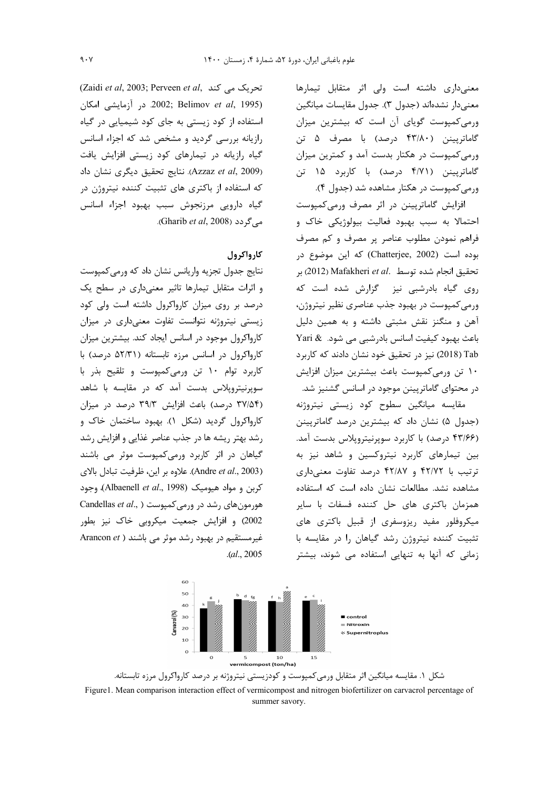معنیداری داشته است ولی اثر متقابل تیمارها معنىدار نشدهاند (جدول ٣). جدول مقايسات ميانگين ورمی کمپوست گویای آن است که بیشترین میزان گاماترپینن (۴۳/۸۰ درصد) با مصرف ۵ تن ورمی کمپوست در هکتار بدست آمد و کمترین میزان گاماتریینن (۴/۷۱ درصد) با کاربرد ۱۵ تن ورمی کمپوست در هکتار مشاهده شد (جدول ۴).

افزایش گاماتریینن در اثر مصرف ورمی کمپوست احتمالا به سبب بهبود فعالیت بیولوژیکی خاک و فراهم نمودن مطلوب عناصر پر مصرف و کم مصرف بوده است (Chatterjee, 2002) كه اين موضوع در بر (2012) Mafakheri et al. تحقيق انجام شده توسط .) روی گیاه بادرشبی نیز گزارش شده است که ورمی کمپوست در بهبود جذب عناصری نظیر نیتروژن، آهن و منگنز نقش مثبتی داشته و به همین دلیل باعث بهبود كيفيت اسانس بادرشبي مي شود. & Yari Tab (2018) نيز در تحقيق خود نشان دادند كه كاربرد ١٠ تن ورمي كمپوست باعث بيشترين ميزان افزايش در محتوای گاماتریینن موجود در اسانس گشنیز شد.

.<br>مقایسه میانگین سطوح کود زیستی نیتروژنه (جدول ۵) نشان داد که بیشترین درصد گاماترپینن (۴۳/۶۶ درصد) با کاربرد سویرنیتروپلاس بدست آمد. بین تیمارهای کاربرد نیتروکسین و شاهد نیز به ترتیب با ۴۲/۷۲ و ۴۲/۸۷ درصد تفاوت معنیداری مشاهده نشد. مطالعات نشان داده است که استفاده همزمان باكترى هاى حل كننده فسفات با ساير میکروفلور مفید ریزوسفری از قبیل باکتری های تثبیت کننده نیتروژن رشد گیاهان را در مقایسه با زمانی که آنها به تنهایی استفاده می شوند، بیشتر

(Zaidi et al, 2003; Perveen et al, تحریک می کند در آزمایشی امکان 2002; Belimov et al, 1995) استفاده از کود زیستی به جای کود شیمیایی در گیاه رازیانه بررسی گردید و مشخص شد که اجزاء اسانس گیاه رازیانه در تیمارهای کود زیستی افزایش یافت (Azzaz et al, 2009). نتايج تحقيق ديگرى نشان داد که استفاده از باکتری های تثبیت کننده نیتروژن در گیاه دارویی مرزنجوش سبب بهبود اجزاء اسانس می گر دد (Gharib *et al*, 2008).

## کارواکرول

نتايج جدول تجزيه واريانس نشان داد كه ورمى كمپوست و اثرات متقابل تیمارها تاثیر معنیداری در سطح یک درصد بر روی میزان کارواکرول داشته است ولی کود زیستی نیتروژنه نتوانست تفاوت معنیداری در میزان کارواکرول موجود در اسانس ایجاد کند. بیشترین میزان کارواکرول در اسانس مرزه تابستانه (۵۲/۳۱ درصد) با کاربرد توام ۱۰ تن ورمیکمپوست و تلقیح بذر با سویرنیتروپلاس بدست آمد که در مقایسه با شاهد (۳۷/۵۴ درصد) باعث افزایش ۳۹/۳ درصد در میزان کارواکرول گردید (شکل ۱). بهبود ساختمان خاک و رشد بهتر ریشه ها در جذب عناصر غذایی و افزایش رشد گیاهان در اثر کاربرد ورمی کمپوست موثر می باشند (Andre et al., 2003). علاوه بر اين، ظرفيت تبادل بالاي کربن و مواد هیومیک (Albaenell et al., 1998)، وجود Candellas et al., ) در ورمی کمپوست ( ..Candellas et al 2002) و افزایش جمعیت میکروبی خاک نیز بطور Arancon et ) غیر مستقیم در بهبود رشد موثر می باشند  $. (al., 2005)$ 



شکل ۱. مقایسه میانگین اثر متقابل ورمیکمپوست و کودزیستی نیتروژنه بر درصد کارواکرول مرزه تابستانه. Figure1. Mean comparison interaction effect of vermicompost and nitrogen biofertilizer on carvacrol percentage of summer savory.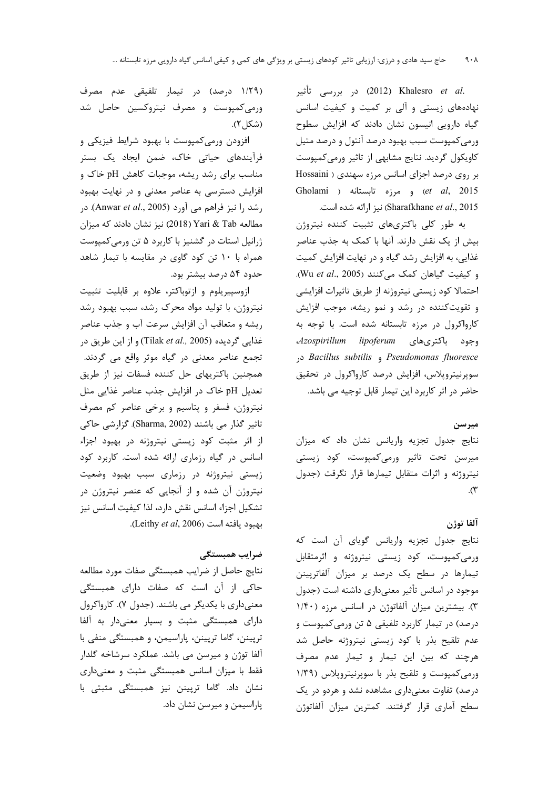.2012) در بررسی تأثیر (2012) C2012 نهادههای زیستی و آلی بر کمیت و کیفیت اسانس گیاه دارویی انیسون نشان دادند که افزایش سطوح ورمی کمپوست سبب بهبود درصد آنتول و درصد متیل کاویکول گردید. نتایج مشابهی از تاثیر ورمی کمپوست بر روی درصد اجزای اسانس مرزه سهندی ( Hossaini Gholami ) و مرزه تابستانه (Gholami Sharafkhane et al., 2015) نیز ارائه شده است.

به طور کلی باکتریهای تثبیت کننده نیتروژن بیش از یک نقش دارند. آنها با کمک به جذب عناصر غذایی، به افزایش رشد گیاه و در نهایت افزایش کمیت و كيفيت گياهان كمك مى كنند (Wu et al., 2005). احتمالا كود زيستي نيتروژنه از طريق تاثيرات افزايشي و تقویت کننده در رشد و نمو ریشه، موجب افزایش کارواکرول در مرزه تابستانه شده است. با توجه به Azospirillum lipoferum وجود باكترى هاى Sacillus subtilis , Pseudomonas fluoresce سوپرنیتروپلاس، افزایش درصد کارواکرول در تحقیق حاضر در اثر کاربرد این تیمار قابل توجیه می باشد.

### ميرسن

نتایج جدول تجزیه واریانس نشان داد که میزان میرسن تحت تاثیر ورمیکمپوست، کود زیستی نیتروژنه و اثرات متقابل تیمارها قرار نگرقت (جدول  $\cdot$ 

### آلفا توژن

نتايج جدول تجزيه واريانس گوياي أن است كه ورمی کمپوست، کود زیستی نیتروژنه و اثرمتقابل تیمارها در سطح یک درصد بر میزان آلفاترپینن موجود در اسانس تأثیر معنیداری داشته است (جدول ٣). بیشترین میزان آلفاتوژن در اسانس مرزه (١/۴٠ درصد) در تیمار کاربرد تلفیقی ۵ تن ورمی کمپوست و عدم تلقیح بذر با کود زیستی نیتروژنه حاصل شد هرچند که بین این تیمار و تیمار عدم مصرف ورمی کمپوست و تلقیح بذر با سوپرنیتروپلاس (۱/۳۹ درصد) تفاوت معنیداری مشاهده نشد و هردو در یک سطح آماري قرار گرفتند. كمترين ميزان آلفاتوژن

(۱/۲۹ درصد) در تیمار تلفیقی عدم مصرف ورمی کمپوست و مصرف نیتروکسین حاصل شد (شكل ۲).

افزودن ورمی کمپوست با بهبود شرایط فیزیکی و فرآیندهای حیاتی خاک، ضمن ایجاد یک بستر مناسب برای رشد ریشه، موجبات کاهش pH خاک و افزایش دسترسی به عناصر معدنی و در نهایت بهبود رشد را نیز فراهم می آورد (Anwar et al., 2005). در مطالعه Yari & Tab (2018) نيز نشان دادند كه ميزان ژرانیل استات در گشنیز با کاربرد ۵ تن ورمی کمپوست همراه با ۱۰ تن کود گاوی در مقایسه با تیمار شاهد حدود ۵۴ درصد بیشتر بود.

ازوسپیریلوم و ازتوباکتر، علاوه بر قابلیت تثبیت نیتروژن، با تولید مواد محرک رشد، سبب بهبود رشد ريشه و متعاقب آن افزايش سرعت آب و جذب عناصر غذایی گردیده (Tilak et al., 2005) و از این طریق در تجمع عناصر معدنی در گیاه موثر واقع می گردند. همچنین باکتریهای حل کننده فسفات نیز از طریق تعدیل pH خاک در افزایش جذب عناصر غذایی مثل نیتروژن، فسفر و پتاسیم و برخی عناصر کم مصرف تاثیر گذار می باشند (Sharma, 2002). گزارشی حاکی از اثر مثبت کود زیستی نیتروژنه در بهبود اجزاء اسانس در گیاه رزماری ارائه شده است. کاربرد کود زیستی نیتروژنه در رزماری سبب بهبود وضعیت نیتروژن آن شده و از آنجایی که عنصر نیتروژن در تشكيل اجزاء اسانس نقش دارد، لذا كيفيت اسانس نيز بهبود يافته است (Leithy et al, 2006).

# ضراب همبستگی

نتايج حاصل از ضرايب همبستگي صفات مورد مطالعه حاکی از آن است که صفات دارای همبستگی معنیداری با یکدیگر می باشند. (جدول ۷). کارواکرول دارای همبستگی مثبت و بسیار معنیدار به آلفا ترپینن، گاما ترپینن، پاراسیمن، و همبستگی منفی با آلفا توژن و میرسن می باشد. عملکرد سرشاخه گلدار فقط با میزان اسانس همبستگی مثبت و معنیداری نشان داد. گاما ترپینن نیز همبستگی مثبتی با یاراسیمن و میرسن نشان داد.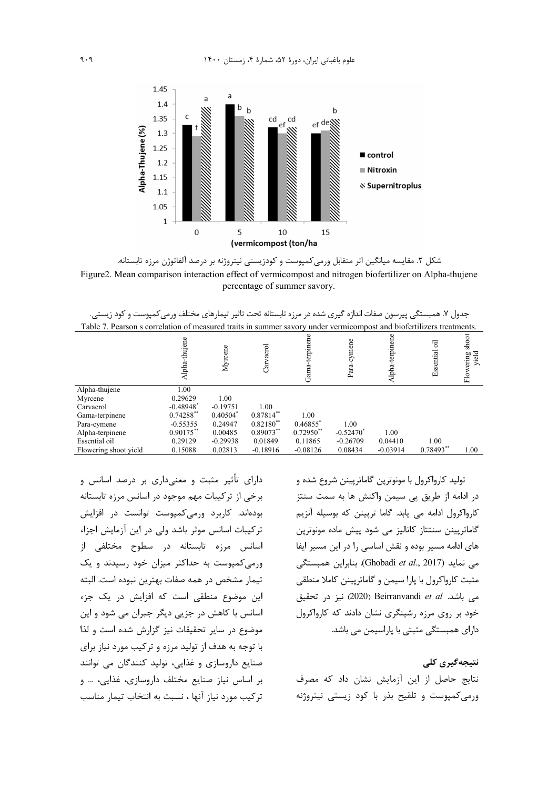

شکل ۲. مقایسه میانگین اثر متقابل ورمیکمپوست و کودزیستی نیتروژنه بر درصد آلفاتوژن مرزه تابستانه. Figure2. Mean comparison interaction effect of vermicompost and nitrogen biofertilizer on Alpha-thujene percentage of summer savory.

جدول ۷. همیستگی پیرسون صفات اندازه گیری شده در مرزه تابستانه تحت تاثیر تیمارهای مختلف ورمے کمیوست و کود زیستے.

| Table 7. Pearson s correlation of measured traits in summer savory under vermicompost and biofertilizers treatments.   |                             |
|------------------------------------------------------------------------------------------------------------------------|-----------------------------|
|                                                                                                                        |                             |
| Alpha-terpinene<br>Alpha-thujene<br>-terpinen<br>cymene<br>ह<br>$\rm Carvarol$<br>Myrene<br>Essential<br>Gana-<br>Para | shoot<br>yield<br>Flowering |
| Alpha-thujene<br>1.00                                                                                                  |                             |
| 0.29629<br>1.00<br>Myrcene                                                                                             |                             |
| $-0.48948$ <sup>*</sup><br>$-0.19751$<br>1.00<br>Carvacrol                                                             |                             |
| $0.87814***$<br>$0.74288**$<br>$0.40504$ <sup>*</sup><br>1.00<br>Gama-terpinene                                        |                             |
| $0.82180***$<br>$0.46855$ <sup>*</sup><br>$-0.55355$<br>0.24947<br>1.00<br>Para-cymene                                 |                             |
| $0.89073**$<br>$0.72950**$<br>$0.90175$ **<br>$-0.52470$ <sup>*</sup><br>0.00485<br>1.00<br>Alpha-terpinene            |                             |
| Essential oil<br>0.29129<br>$-0.29938$<br>0.11865<br>$-0.26709$<br>1.00<br>0.01849<br>0.04410                          |                             |
| $0.78493**$<br>Flowering shoot yield<br>0.08434<br>$-0.03914$<br>0.15088<br>0.02813<br>$-0.18916$<br>$-0.08126$        | 1.00                        |

دارای تأثیر مثبت و معنیداری بر درصد اسانس و برخی از ترکیبات مهم موجود در اسانس مرزه تابستانه بودهاند. کاربرد ورمیکمپوست توانست در افزایش تركيبات اسانس موثر باشد ولى در اين آزمايش اجزاء اسانس مرزه تابستانه در سطوح مختلفی از ورمی کمپوست به حداکثر میزان خود رسیدند و یک تيمار مشخص در همه صفات بهترين نبوده است. البته این موضوع منطقی است که افزایش در یک جزء اسانس با کاهش در جزیی دیگر جبران می شود و این موضوع در سایر تحقیقات نیز گزارش شده است و لذا با توجه به هدف از تولید مرزه و ترکیب مورد نیاز برای صنایع داروسازی و غذایی، تولید کنندگان می توانند بر اساس نیاز صنایع مختلف داروسازی، غذایی، … و تركيب مورد نياز آنها ، نسبت به انتخاب تيمار مناسب

تولید کارواکرول با مونوترین گاماتریینن شروع شده و در ادامه از طریق یی سیمن واکنش ها به سمت سنتز کارواکرول ادامه می یابد. گاما ترپینن که بوسیله آنزیم گاماتریپنن سنتتاز کاتالیز می شود پیش ماده مونوترین های ادامه مسیر بوده و نقش اساسی را در این مسیر ایفا می نماید (Ghobadi et al., 2017). بنابراین همبستگی مثبت کارواکرول با پارا سیمن و گاماتریینن کاملا منطقی می باشد. Beirranvandi et al (2020) نیز در تحقیق خود بر روی مرزه رشینگری نشان دادند که کارواکرول دارای همبستگی مثبتی با پاراسیمن می باشد.

نتیجەگیری کلی نتايج حاصل از اين آزمايش نشان داد كه مصرف ورمی کمپوست و تلقیح بذر با کود زیستی نیتروژنه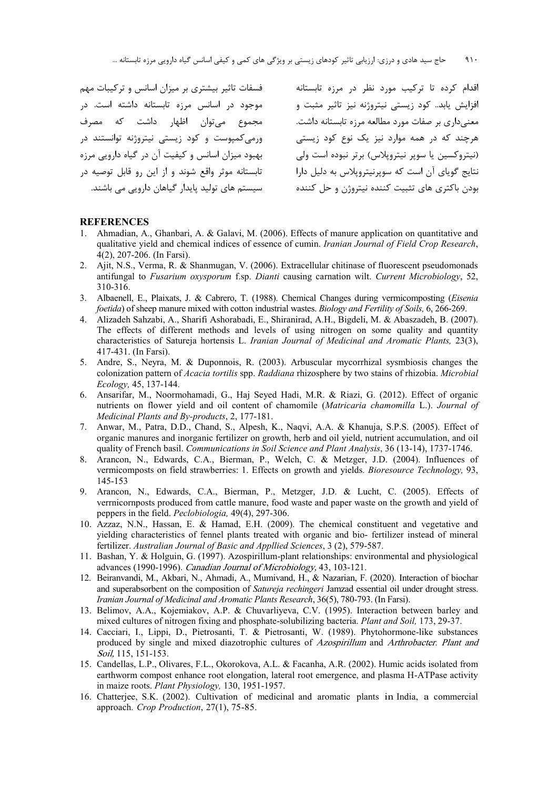اقدام کرده تا ترکیب مورد نظر در مرزه تابستانه افزایش یابد.. کود زیستی نیتروژنه نیز تاثیر مثبت و معنیداری بر صفات مورد مطالعه مرزه تابستانه داشت. هرچند که در همه موارد نیز یک نوع کود زیستی (نيتروكسين يا سوير نيترويلاس) برتر نبوده است ولي نتایج گوپای آن است که سویرنیتروپلاس به دلیل دارا بودن باکتری های تثبیت کننده نیتروژن و حل کننده فسفات تاثیر بیشتری بر میزان اسانس و ترکیبات مهم موجود در اسانس مرزه تابستانه داشته است. در مجموع میتوان اظهار داشت که مصرف ورمیکمپوست و کود زیستی نیتروژنه توانستند در بهبود میزان اسانس و کیفیت آن در گیاه دارویی مرزه تابستانه موثر واقع شوند و از این رو قابل توصیه در سیستم های تولید پایدار گیاهان دارویی می باشند.

#### **REFERENCES**

- 1. Ahmadian, A., Ghanbari, A. & Galavi, M. (2006). Effects of manure application on quantitative and qualitative yield and chemical indices of essence of cumin. *Iranian Journal of Field Crop Research*, 4(2), 207-206. (In Farsi).
- 2. Ajit, N.S., Verma, R. & Shanmugan, V. (2006). Extracellular chitinase of fluorescent pseudomonads antifungal to *Fusarium oxysporum* f.sp. *Dianti* causing carnation wilt. *Current Microbiology*, 52, 310-316.
- 3. Albaenell, E., Plaixats, J. & Cabrero, T. (1988). Chemical Changes during vermicomposting (*Eisenia foetida*) of sheep manure mixed with cotton industrial wastes. *Biology and Fertility of Soils,* 6, 266-269.
- 4. Alizadeh Sahzabi, A., Sharifi Ashorabadi, E., Shiranirad, A.H., Bigdeli, M. & Abaszadeh, B. (2007). The effects of different methods and levels of using nitrogen on some quality and quantity characteristics of Satureja hortensis L. *Iranian Journal of Medicinal and Aromatic Plants,* 23(3), 417-431. (In Farsi).
- 5. Andre, S., Neyra, M. & Duponnois, R. (2003). Arbuscular mycorrhizal sysmbiosis changes the colonization pattern of *Acacia tortilis* spp. *Raddiana* rhizosphere by two stains of rhizobia. *Microbial Ecology,* 45, 137-144.
- 6. Ansarifar, M., Noormohamadi, G., Haj Seyed Hadi, M.R. & Riazi, G. (2012). Effect of organic nutrients on flower yield and oil content of chamomile (*Matricaria chamomilla* L.). *Journal of Medicinal Plants and By-products*, 2, 177-181.
- 7. Anwar, M., Patra, D.D., Chand, S., Alpesh, K., Naqvi, A.A. & Khanuja, S.P.S. (2005). Effect of organic manures and inorganic fertilizer on growth, herb and oil yield, nutrient accumulation, and oil quality of French basil. *Communications in Soil Science and Plant Analysis*, 36 (13-14), 1737-1746.
- 8. Arancon, N., Edwards, C.A., Bierman, P., Welch, C. & Metzger, J.D. (2004). Influences of vermicomposts on field strawberries: 1. Effects on growth and yields. *Bioresource Technology,* 93, 145-153
- 9. Arancon, N., Edwards, C.A., Bierman, P., Metzger, J.D. & Lucht, C. (2005). Effects of verrnicornposts produced from cattle manure, food waste and paper waste on the growth and yield of peppers in the field. *Peclobiologia,* 49(4), 297-306.
- 10. Azzaz, N.N., Hassan, E. & Hamad, E.H. (2009). The chemical constituent and vegetative and yielding characteristics of fennel plants treated with organic and bio- fertilizer instead of mineral fertilizer. *Australian Journal of Basic and Appllied Sciences*, 3 (2), 579-587.
- 11. Bashan, Y. & Holguin, G. (1997). Azospirillum-plant relationships: environmental and physiological advances (1990-1996). Canadian Journal of Microbiology, 43, 103-121.
- 12. Beiranvandi, M., Akbari, N., Ahmadi, A., Mumivand, H., & Nazarian, F. (2020). Interaction of biochar and superabsorbent on the composition of *Satureja rechingeri* Jamzad essential oil under drought stress. *Iranian Journal of Medicinal and Aromatic Plants Research*, 36(5), 780-793. (In Farsi).
- 13. Belimov, A.A., Kojemiakov, A.P. & Chuvarliyeva, C.V. (1995). Interaction between barley and mixed cultures of nitrogen fixing and phosphate-solubilizing bacteria. *Plant and Soil,* 173, 29-37.
- 14. Cacciari, I., Lippi, D., Pietrosanti, T. & Pietrosanti, W. (1989). Phytohormone-like substances produced by single and mixed diazotrophic cultures of Azospirillum and Arthrobacter. Plant and Soil, 115, 151-153.
- 15. Candellas, L.P., Olivares, F.L., Okorokova, A.L. & Facanha, A.R. (2002). Humic acids isolated from earthworm compost enhance root elongation, lateral root emergence, and plasma H-ATPase activity in maize roots. *Plant Physiology,* 130, 1951-1957.
- 16. Chatterjee, S.K. (2002). Cultivation of medicinal and aromatic plants in India, a commercial approach. *Crop Production*, 27(1), 75-85.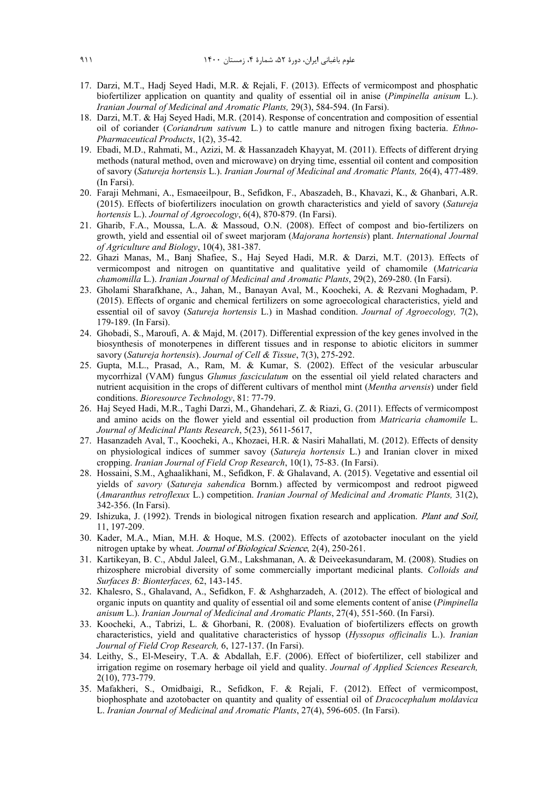- 17. Darzi, M.T., Hadj Seyed Hadi, M.R. & Rejali, F. (2013). Effects of vermicompost and phosphatic biofertilizer application on quantity and quality of essential oil in anise (*Pimpinella anisum* L.). *Iranian Journal of Medicinal and Aromatic Plants,* 29(3), 584-594. (In Farsi).
- 18. Darzi, M.T. & Haj Seyed Hadi, M.R. (2014). Response of concentration and composition of essential oil of coriander (*Coriandrum sativum* L*.*) to cattle manure and nitrogen fixing bacteria. *Ethno-Pharmaceutical Products*, 1(2), 35-42.
- 19. Ebadi, M.D., Rahmati, M., Azizi, M. & Hassanzadeh Khayyat, M. (2011). Effects of different drying methods (natural method, oven and microwave) on drying time, essential oil content and composition of savory (*Satureja hortensis* L.). *Iranian Journal of Medicinal and Aromatic Plants,* 26(4), 477-489. (In Farsi).
- 20. Faraji Mehmani, A., Esmaeeilpour, B., Sefidkon, F., Abaszadeh, B., Khavazi, K., & Ghanbari, A.R. (2015). Effects of biofertilizers inoculation on growth characteristics and yield of savory (*Satureja hortensis* L.). *Journal of Agroecology*, 6(4), 870-879. (In Farsi).
- 21. Gharib, F.A., Moussa, L.A. & Massoud, O.N. (2008). Effect of compost and bio-fertilizers on growth, yield and essential oil of sweet marjoram (*Majorana hortensis*) plant. *International Journal of Agriculture and Biology*, 10(4), 381-387.
- 22. Ghazi Manas, M., Banj Shafiee, S., Haj Seyed Hadi, M.R. & Darzi, M.T. (2013). Effects of vermicompost and nitrogen on quantitative and qualitative yeild of chamomile (*Matricaria chamomilla* L.). *Iranian Journal of Medicinal and Aromatic Plants*, 29(2), 269-280. (In Farsi).
- 23. Gholami Sharafkhane, A., Jahan, M., Banayan Aval, M., Koocheki, A. & Rezvani Moghadam, P. (2015). Effects of organic and chemical fertilizers on some agroecological characteristics, yield and essential oil of savoy (*Satureja hortensis* L.) in Mashad condition. *Journal of Agroecology,* 7(2), 179-189. (In Farsi).
- 24. Ghobadi, S., Maroufi, A. & Majd, M. (2017). Differential expression of the key genes involved in the biosynthesis of monoterpenes in different tissues and in response to abiotic elicitors in summer savory (*Satureja hortensis*). *Journal of Cell & Tissue*, 7(3), 275-292.
- 25. Gupta, M.L., Prasad, A., Ram, M. & Kumar, S. (2002). Effect of the vesicular arbuscular mycorrhizal (VAM) fungus *Glumus fasciculatum* on the essential oil yield related characters and nutrient acquisition in the crops of different cultivars of menthol mint (*Mentha arvensis*) under field conditions. *Bioresource Technology*, 81: 77-79.
- 26. Haj Seyed Hadi, M.R., Taghi Darzi, M., Ghandehari, Z. & Riazi, G. (2011). Effects of vermicompost and amino acids on the flower yield and essential oil production from *Matricaria chamomile* L. *Journal of Medicinal Plants Research*, 5(23), 5611-5617,
- 27. Hasanzadeh Aval, T., Koocheki, A., Khozaei, H.R. & Nasiri Mahallati, M. (2012). Effects of density on physiological indices of summer savoy (*Satureja hortensis* L.) and Iranian clover in mixed cropping. *Iranian Journal of Field Crop Research*, 10(1), 75-83. (In Farsi).
- 28. Hossaini, S.M., Aghaalikhani, M., Sefidkon, F. & Ghalavand, A. (2015). Vegetative and essential oil yields of *savory* (*Satureja sahendica* Bornm.) affected by vermicompost and redroot pigweed (*Amaranthus retroflexux* L.) competition. *Iranian Journal of Medicinal and Aromatic Plants,* 31(2), 342-356. (In Farsi).
- 29. Ishizuka, J. (1992). Trends in biological nitrogen fixation research and application. *Plant and Soil*, 11, 197-209.
- 30. Kader, M.A., Mian, M.H. & Hoque, M.S. (2002). Effects of azotobacter inoculant on the yield nitrogen uptake by wheat. Journal of Biological Science, 2(4), 250-261.
- 31. Kartikeyan, B. C., Abdul Jaleel, G.M., Lakshmanan, A. & Deiveekasundaram, M. (2008). Studies on rhizosphere microbial diversity of some commercially important medicinal plants. *Colloids and Surfaces B: Bionterfaces,* 62, 143-145.
- 32. Khalesro, S., Ghalavand, A., Sefidkon, F. & Ashgharzadeh, A. (2012). The effect of biological and organic inputs on quantity and quality of essential oil and some elements content of anise (*Pimpinella anisum* L.). *Iranian Journal of Medicinal and Aromatic Plants*, 27(4), 551-560. (In Farsi).
- 33. Koocheki, A., Tabrizi, L. & Ghorbani, R. (2008). Evaluation of biofertilizers effects on growth characteristics, yield and qualitative characteristics of hyssop (*Hyssopus officinalis* L.). *Iranian Journal of Field Crop Research,* 6, 127-137. (In Farsi).
- 34. Leithy, S., El-Meseiry, T.A. & Abdallah, E.F. (2006). Effect of biofertilizer, cell stabilizer and irrigation regime on rosemary herbage oil yield and quality. *Journal of Applied Sciences Research,* 2(10), 773-779.
- 35. Mafakheri, S., Omidbaigi, R., Sefidkon, F. & Rejali, F. (2012). Effect of vermicompost, biophosphate and azotobacter on quantity and quality of essential oil of *Dracocephalum moldavica*  L. *Iranian Journal of Medicinal and Aromatic Plants*, 27(4), 596-605. (In Farsi).